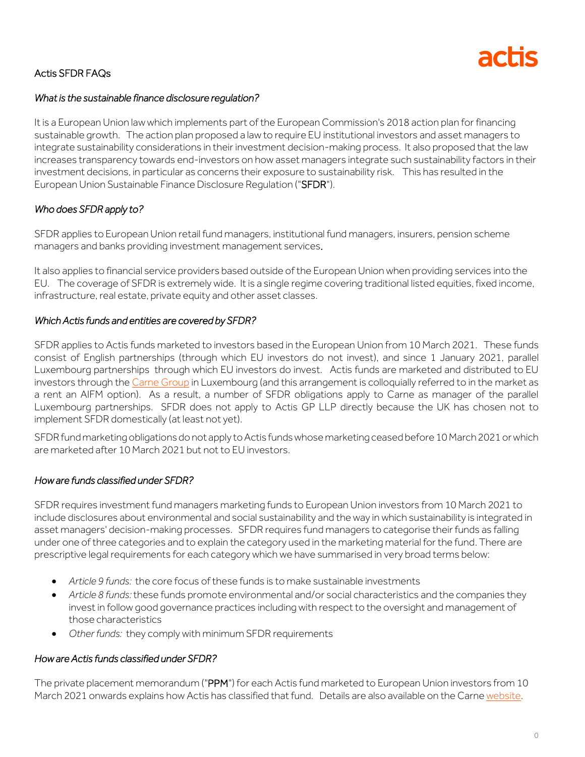

# Actis SFDR FAQs

### *What is the sustainable finance disclosure regulation?*

It is a European Union law which implements part of the European Commission's 2018 action plan for financing sustainable growth. The action plan proposed a law to require EU institutional investors and asset managers to integrate sustainability considerations in their investment decision-making process. It also proposed that the law increases transparency towards end-investors on how asset managers integrate such sustainability factors in their investment decisions, in particular as concerns their exposure to sustainability risk. This has resulted in the European Union Sustainable Finance Disclosure Regulation ("SFDR").

## *Who does SFDR apply to?*

SFDR applies to European Union retail fund managers, institutional fund managers, insurers, pension scheme managers and banks providing investment management services.

It also applies to financial service providers based outside of the European Union when providing services into the EU. The coverage of SFDR is extremely wide. It is a single regime covering traditional listed equities, fixed income, infrastructure, real estate, private equity and other asset classes.

### *Which Actis funds and entities are covered by SFDR?*

SFDR applies to Actis funds marketed to investors based in the European Union from 10 March 2021. These funds consist of English partnerships (through which EU investors do not invest), and since 1 January 2021, parallel Luxembourg partnerships through which EU investors do invest. Actis funds are marketed and distributed to EU investors through th[e Carne Group](https://www.carnegroup.com/location/luxembourg) in Luxembourg (and this arrangement is colloquially referred to in the market as a rent an AIFM option). As a result, a number of SFDR obligations apply to Carne as manager of the parallel Luxembourg partnerships. SFDR does not apply to Actis GP LLP directly because the UK has chosen not to implement SFDR domestically (at least not yet).

SFDRfundmarketing obligations do not apply to Actis funds whose marketing ceased before 10 March 2021 or which are marketed after 10 March 2021 but not to EU investors.

## *How are funds classified under SFDR?*

SFDR requires investment fund managers marketing funds to European Union investors from 10 March 2021 to include disclosures about environmental and social sustainability and the way in which sustainability is integrated in asset managers' decision-making processes. SFDR requires fund managers to categorise their funds as falling under one of three categories and to explain the category used in the marketing material for the fund. There are prescriptive legal requirements for each category which we have summarised in very broad terms below:

- *Article 9 funds:* the core focus of these funds is to make sustainable investments
- *Article 8 funds:* these funds promote environmental and/or social characteristics and the companies they invest in follow good governance practices including with respect to the oversight and management of those characteristics
- *Other funds:* they comply with minimum SFDR requirements

## *How are Actis funds classified under SFDR?*

The private placement memorandum ("PPM") for each Actis fund marketed to European Union investors from 10 March 2021 onwards explains how Actis has classified that fund. Details are also available on the Carn[e website.](https://www.carnegroup.com/location/luxembourg)